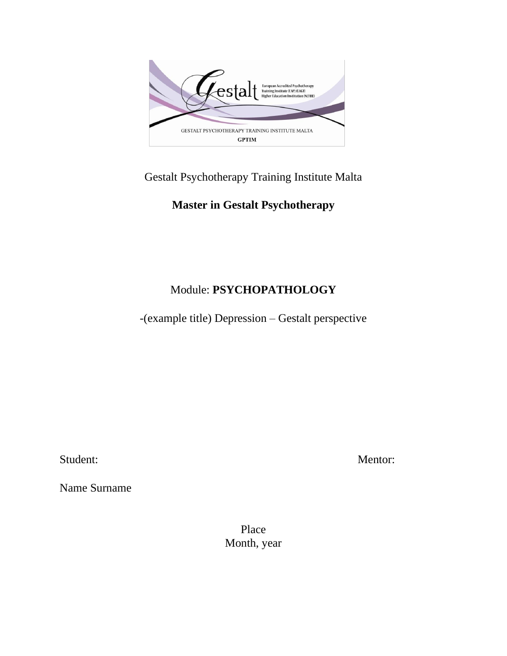

### Gestalt Psychotherapy Training Institute Malta

## **Master in Gestalt Psychotherapy**

# Module: **PSYCHOPATHOLOGY**

-(example title) Depression – Gestalt perspective

Name Surname

Student: Mentor:

Place Month, year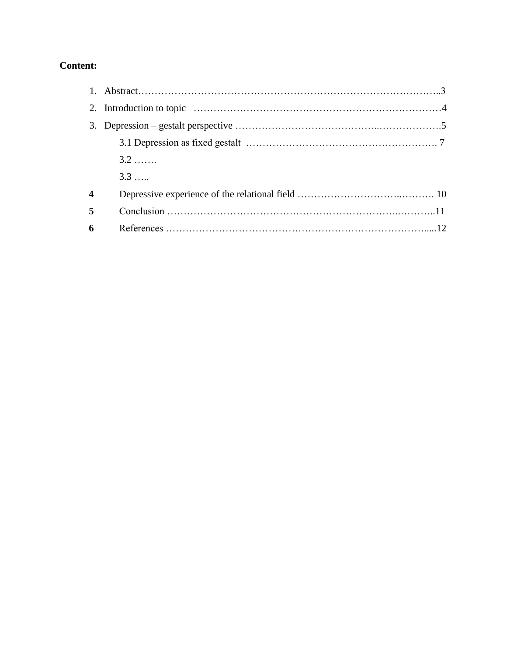#### **Content:**

|                         | $3.2$ |  |
|-------------------------|-------|--|
|                         | 3.3   |  |
| $\overline{\mathbf{4}}$ |       |  |
| 5                       |       |  |
|                         |       |  |